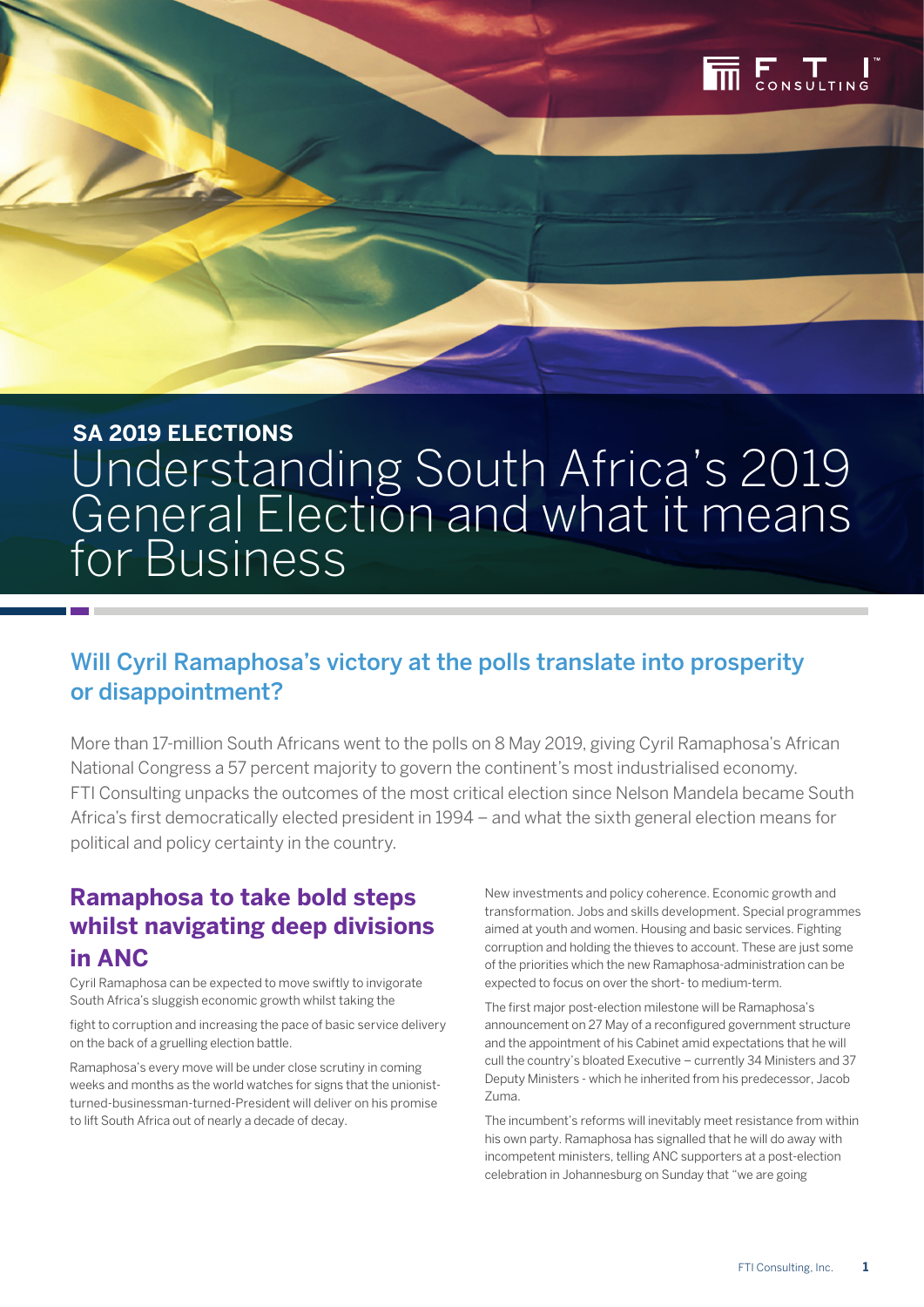

# **SA 2019 ELECTIONS** Understanding South Africa's 2019 General Election and what it means for Business

# Will Cyril Ramaphosa's victory at the polls translate into prosperity or disappointment?

More than 17-million South Africans went to the polls on 8 May 2019, giving Cyril Ramaphosa's African National Congress a 57 percent majority to govern the continent's most industrialised economy. FTI Consulting unpacks the outcomes of the most critical election since Nelson Mandela became South Africa's first democratically elected president in 1994 – and what the sixth general election means for political and policy certainty in the country.

# **Ramaphosa to take bold steps whilst navigating deep divisions in ANC**

Cyril Ramaphosa can be expected to move swiftly to invigorate South Africa's sluggish economic growth whilst taking the

fight to corruption and increasing the pace of basic service delivery on the back of a gruelling election battle.

Ramaphosa's every move will be under close scrutiny in coming weeks and months as the world watches for signs that the unionistturned-businessman-turned-President will deliver on his promise to lift South Africa out of nearly a decade of decay.

New investments and policy coherence. Economic growth and transformation. Jobs and skills development. Special programmes aimed at youth and women. Housing and basic services. Fighting corruption and holding the thieves to account. These are just some of the priorities which the new Ramaphosa-administration can be expected to focus on over the short- to medium-term.

The first major post-election milestone will be Ramaphosa's announcement on 27 May of a reconfigured government structure and the appointment of his Cabinet amid expectations that he will cull the country's bloated Executive – currently 34 Ministers and 37 Deputy Ministers - which he inherited from his predecessor, Jacob Zuma.

The incumbent's reforms will inevitably meet resistance from within his own party. Ramaphosa has signalled that he will do away with incompetent ministers, telling ANC supporters at a post-election celebration in Johannesburg on Sunday that "we are going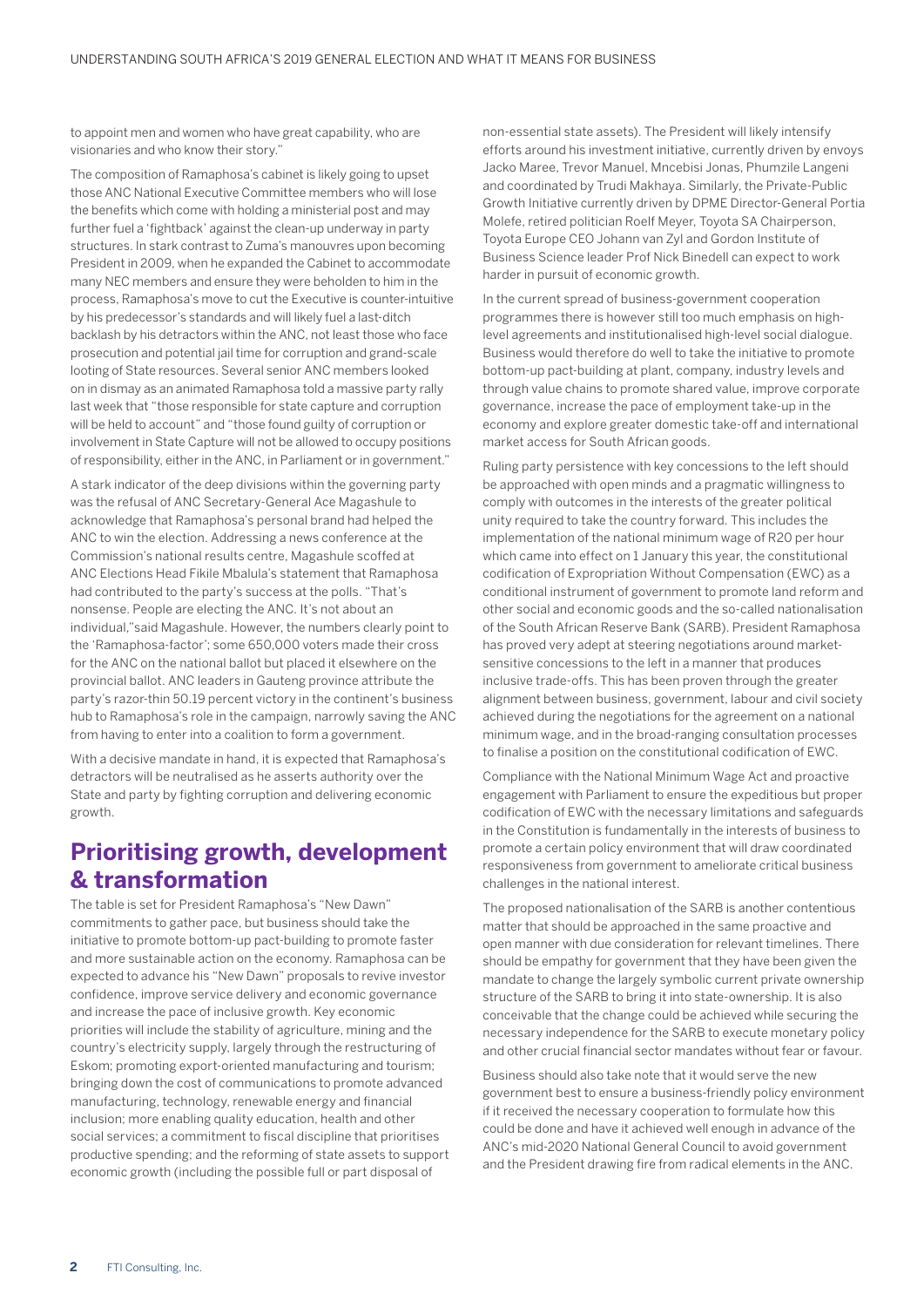to appoint men and women who have great capability, who are visionaries and who know their story."

The composition of Ramaphosa's cabinet is likely going to upset those ANC National Executive Committee members who will lose the benefits which come with holding a ministerial post and may further fuel a 'fightback' against the clean-up underway in party structures. In stark contrast to Zuma's manouvres upon becoming President in 2009, when he expanded the Cabinet to accommodate many NEC members and ensure they were beholden to him in the process, Ramaphosa's move to cut the Executive is counter-intuitive by his predecessor's standards and will likely fuel a last-ditch backlash by his detractors within the ANC, not least those who face prosecution and potential jail time for corruption and grand-scale looting of State resources. Several senior ANC members looked on in dismay as an animated Ramaphosa told a massive party rally last week that "those responsible for state capture and corruption will be held to account" and "those found guilty of corruption or involvement in State Capture will not be allowed to occupy positions of responsibility, either in the ANC, in Parliament or in government."

A stark indicator of the deep divisions within the governing party was the refusal of ANC Secretary-General Ace Magashule to acknowledge that Ramaphosa's personal brand had helped the ANC to win the election. Addressing a news conference at the Commission's national results centre, Magashule scoffed at ANC Elections Head Fikile Mbalula's statement that Ramaphosa had contributed to the party's success at the polls. "That's nonsense. People are electing the ANC. It's not about an individual,"said Magashule. However, the numbers clearly point to the 'Ramaphosa-factor'; some 650,000 voters made their cross for the ANC on the national ballot but placed it elsewhere on the provincial ballot. ANC leaders in Gauteng province attribute the party's razor-thin 50.19 percent victory in the continent's business hub to Ramaphosa's role in the campaign, narrowly saving the ANC from having to enter into a coalition to form a government.

With a decisive mandate in hand, it is expected that Ramaphosa's detractors will be neutralised as he asserts authority over the State and party by fighting corruption and delivering economic growth.

# **Prioritising growth, development & transformation**

The table is set for President Ramaphosa's "New Dawn" commitments to gather pace, but business should take the initiative to promote bottom-up pact-building to promote faster and more sustainable action on the economy. Ramaphosa can be expected to advance his "New Dawn" proposals to revive investor confidence, improve service delivery and economic governance and increase the pace of inclusive growth. Key economic priorities will include the stability of agriculture, mining and the country's electricity supply, largely through the restructuring of Eskom; promoting export-oriented manufacturing and tourism; bringing down the cost of communications to promote advanced manufacturing, technology, renewable energy and financial inclusion; more enabling quality education, health and other social services; a commitment to fiscal discipline that prioritises productive spending; and the reforming of state assets to support economic growth (including the possible full or part disposal of

non-essential state assets). The President will likely intensify efforts around his investment initiative, currently driven by envoys Jacko Maree, Trevor Manuel, Mncebisi Jonas, Phumzile Langeni and coordinated by Trudi Makhaya. Similarly, the Private-Public Growth Initiative currently driven by DPME Director-General Portia Molefe, retired politician Roelf Meyer, Toyota SA Chairperson, Toyota Europe CEO Johann van Zyl and Gordon Institute of Business Science leader Prof Nick Binedell can expect to work harder in pursuit of economic growth.

In the current spread of business-government cooperation programmes there is however still too much emphasis on highlevel agreements and institutionalised high-level social dialogue. Business would therefore do well to take the initiative to promote bottom-up pact-building at plant, company, industry levels and through value chains to promote shared value, improve corporate governance, increase the pace of employment take-up in the economy and explore greater domestic take-off and international market access for South African goods.

Ruling party persistence with key concessions to the left should be approached with open minds and a pragmatic willingness to comply with outcomes in the interests of the greater political unity required to take the country forward. This includes the implementation of the national minimum wage of R20 per hour which came into effect on 1 January this year, the constitutional codification of Expropriation Without Compensation (EWC) as a conditional instrument of government to promote land reform and other social and economic goods and the so-called nationalisation of the South African Reserve Bank (SARB). President Ramaphosa has proved very adept at steering negotiations around marketsensitive concessions to the left in a manner that produces inclusive trade-offs. This has been proven through the greater alignment between business, government, labour and civil society achieved during the negotiations for the agreement on a national minimum wage, and in the broad-ranging consultation processes to finalise a position on the constitutional codification of EWC.

Compliance with the National Minimum Wage Act and proactive engagement with Parliament to ensure the expeditious but proper codification of EWC with the necessary limitations and safeguards in the Constitution is fundamentally in the interests of business to promote a certain policy environment that will draw coordinated responsiveness from government to ameliorate critical business challenges in the national interest.

The proposed nationalisation of the SARB is another contentious matter that should be approached in the same proactive and open manner with due consideration for relevant timelines. There should be empathy for government that they have been given the mandate to change the largely symbolic current private ownership structure of the SARB to bring it into state-ownership. It is also conceivable that the change could be achieved while securing the necessary independence for the SARB to execute monetary policy and other crucial financial sector mandates without fear or favour.

Business should also take note that it would serve the new government best to ensure a business-friendly policy environment if it received the necessary cooperation to formulate how this could be done and have it achieved well enough in advance of the ANC's mid-2020 National General Council to avoid government and the President drawing fire from radical elements in the ANC.